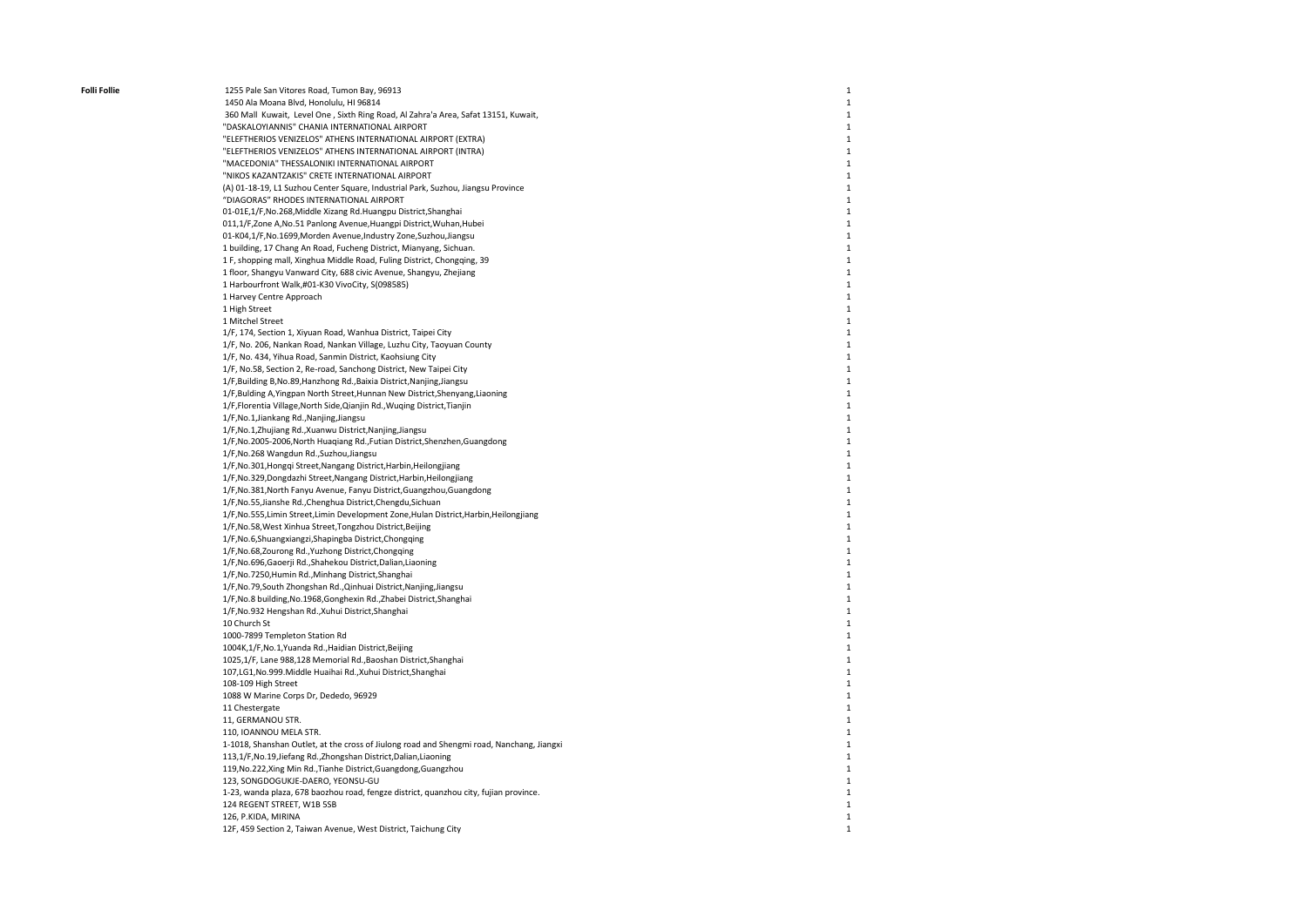Folli Follie 1255 Pale San Vitores Road, Tumon Bay, 96913 1450 Ala Moana Blvd, Honolulu, HI 96814 360 Mall Kuwait, Level One , Sixth Ring Road, Al Zahra'a Area, Safat 13151, Kuwait, "DASKALOYIANNIS" CHANIA INTERNATIONAL AIRPORT "ELEFTHERIOS VENIZELOS" ATHENS INTERNATIONAL AIRPORT (EXTRA) "ELEFTHERIOS VENIZELOS" ATHENS INTERNATIONAL AIRPORT (INTRA) "MACEDONIA" THESSALONIKI INTERNATIONAL AIRPORT "NIKOS KAZANTZAKIS" CRETE INTERNATIONAL AIRPORT (A) 01-18-19, L1 Suzhou Center Square, Industrial Park, Suzhou, Jiangsu Province "DIAGORAS" RHODES INTERNATIONAL AIRPORT 01-01E,1/F,No.268,Middle Xizang Rd.Huangpu District,Shanghai 011,1/F,Zone A,No.51 Panlong Avenue,Huangpi District,Wuhan,Hubei 01-K04,1/F,No.1699,Morden Avenue,Industry Zone,Suzhou,Jiangsu 1 building, 17 Chang An Road, Fucheng District, Mianyang, Sichuan. 1 F, shopping mall, Xinghua Middle Road, Fuling District, Chongqing, 39 1 floor, Shangyu Vanward City, 688 civic Avenue, Shangyu, Zhejiang 1 Harbourfront Walk,#01-K30 VivoCity, S(098585) 1 Harvey Centre Approach 1 High Street 1 Mitchel Street 1/F, 174, Section 1, Xiyuan Road, Wanhua District, Taipei City 1/F, No. 206, Nankan Road, Nankan Village, Luzhu City, Taoyuan County 1/F, No. 434, Yihua Road, Sanmin District, Kaohsiung City 1/F, No.58, Section 2, Re-road, Sanchong District, New Taipei City 1/F,Building B,No.89,Hanzhong Rd.,Baixia District,Nanjing,Jiangsu 1/F,Bulding A,Yingpan North Street,Hunnan New District,Shenyang,Liaoning 1/F,Florentia Village,North Side,Qianjin Rd.,Wuqing District,Tianjin 1/F,No.1,Jiankang Rd.,Nanjing,Jiangsu 1/F,No.1,Zhujiang Rd.,Xuanwu District,Nanjing,Jiangsu 1/F,No.2005-2006,North Huaqiang Rd.,Futian District,Shenzhen,Guangdong 1/F,No.268 Wangdun Rd.,Suzhou,Jiangsu 1/F,No.301,Hongqi Street,Nangang District,Harbin,Heilongjiang 1/F,No.329,Dongdazhi Street,Nangang District,Harbin,Heilongjiang 1/F,No.381,North Fanyu Avenue, Fanyu District,Guangzhou,Guangdong 1/F,No.55,Jianshe Rd.,Chenghua District,Chengdu,Sichuan 1/F,No.555,Limin Street,Limin Development Zone,Hulan District,Harbin,Heilongjiang 1/F,No.58,West Xinhua Street,Tongzhou District,Beijing 1/F,No.6,Shuangxiangzi,Shapingba District,Chongqing 1/F,No.68,Zourong Rd.,Yuzhong District,Chongqing 1/F,No.696,Gaoerji Rd.,Shahekou District,Dalian,Liaoning 1/F,No.7250,Humin Rd.,Minhang District,Shanghai 1/F,No.79,South Zhongshan Rd.,Qinhuai District,Nanjing,Jiangsu 1/F,No.8 building,No.1968,Gonghexin Rd.,Zhabei District,Shanghai 1/F,No.932 Hengshan Rd.,Xuhui District,Shanghai 10 Church St 1000-7899 Templeton Station Rd 1004K,1/F,No.1,Yuanda Rd.,Haidian District,Beijing 1025,1/F, Lane 988,128 Memorial Rd.,Baoshan District,Shanghai 107,LG1,No.999.Middle Huaihai Rd.,Xuhui District,Shanghai 108-109 High Street 1088 W Marine Corps Dr, Dededo, 96929 11 Chestergate 11, GERMANOU STR. 110, IOANNOU MELA STR. 1-1018, Shanshan Outlet, at the cross of Jiulong road and Shengmi road, Nanchang, Jiangxi 113,1/F,No.19,Jiefang Rd.,Zhongshan District,Dalian,Liaoning 119,No.222,Xing Min Rd.,Tianhe District,Guangdong,Guangzhou 123, SONGDOGUKJE-DAERO, YEONSU-GU 1-23, wanda plaza, 678 baozhou road, fengze district, quanzhou city, fujian province. 124 REGENT STREET, W1B 5SB 126, P.KIDA, MIRINA 12F, 459 Section 2, Taiwan Avenue, West District, Taichung City

1

1

1

1

1

1

1

1

1

1

1

1

1

1

1

1

1

1

1

1

1

1

1

1

1

1

1

1

1

1

1

1

1

1

1

1

1

1

1

1

1

1

1

1

1

1

1

1

1

1

1

1

1

1

1

1

1

1

1

1

1

1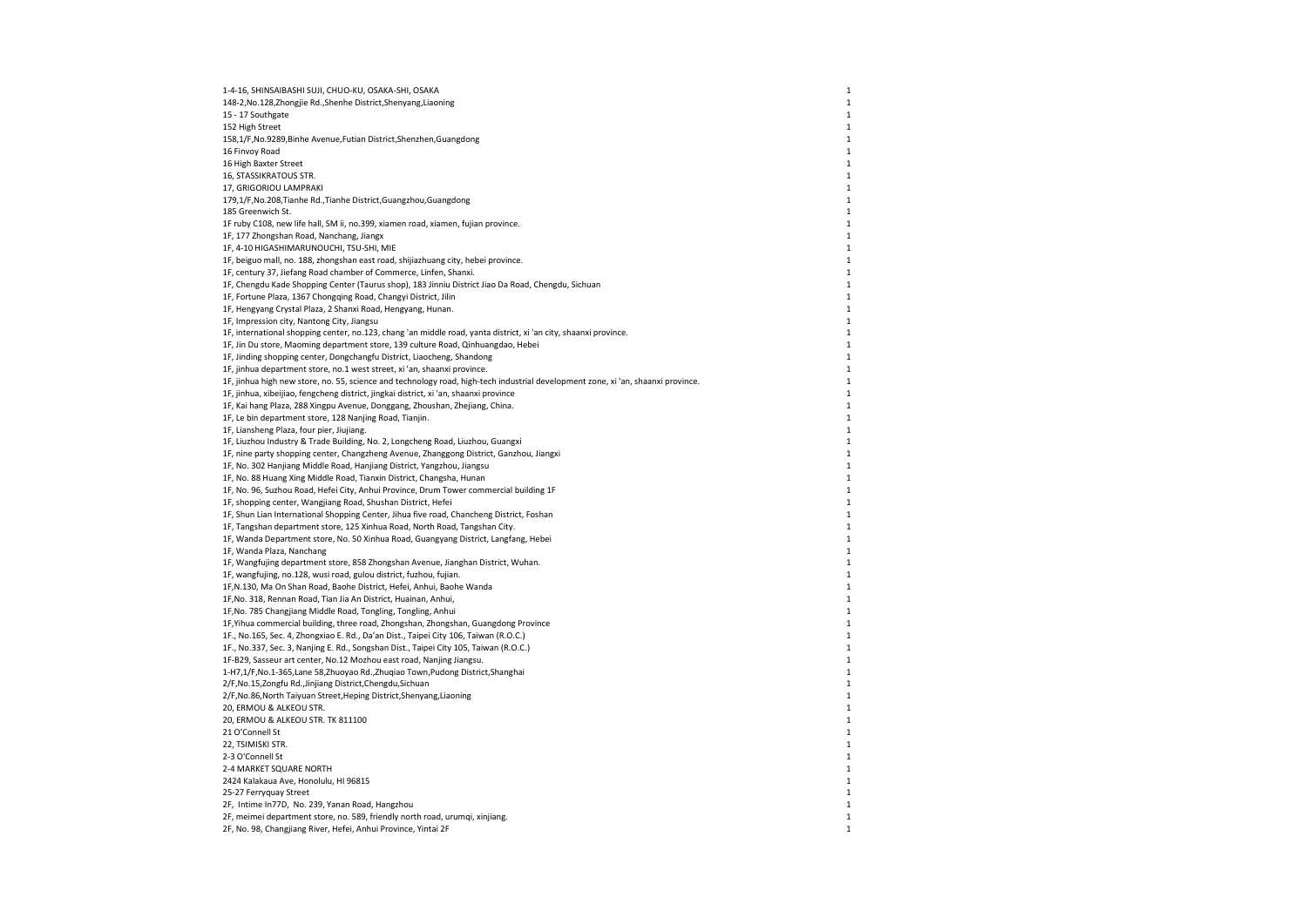| 1-4-16, SHINSAIBASHI SUJI, CHUO-KU, OSAKA-SHI, OSAKA                                                                             | $\mathbf{1}$ |
|----------------------------------------------------------------------------------------------------------------------------------|--------------|
| 148-2, No.128, Zhongjie Rd., Shenhe District, Shenyang, Liaoning                                                                 | $\mathbf 1$  |
| 15 - 17 Southgate                                                                                                                | $\mathbf{1}$ |
| 152 High Street                                                                                                                  | $\mathbf 1$  |
| 158,1/F, No.9289, Binhe Avenue, Futian District, Shenzhen, Guangdong                                                             | $\mathbf 1$  |
| 16 Finvoy Road                                                                                                                   | $\mathbf{1}$ |
| 16 High Baxter Street                                                                                                            | $\mathbf 1$  |
| 16, STASSIKRATOUS STR.                                                                                                           | $\mathbf 1$  |
| 17, GRIGORIOU LAMPRAKI                                                                                                           | $\mathbf 1$  |
| 179,1/F, No.208, Tianhe Rd., Tianhe District, Guangzhou, Guangdong                                                               | $\mathbf 1$  |
| 185 Greenwich St.                                                                                                                | $\mathbf{1}$ |
| 1F ruby C108, new life hall, SM ii, no.399, xiamen road, xiamen, fujian province.                                                | $\mathbf 1$  |
| 1F, 177 Zhongshan Road, Nanchang, Jiangx                                                                                         | $\mathbf 1$  |
| 1F, 4-10 HIGASHIMARUNOUCHI, TSU-SHI, MIE                                                                                         | $\mathbf 1$  |
| 1F, beiguo mall, no. 188, zhongshan east road, shijiazhuang city, hebei province.                                                | 1            |
| 1F, century 37, Jiefang Road chamber of Commerce, Linfen, Shanxi.                                                                | $\mathbf{1}$ |
| 1F, Chengdu Kade Shopping Center (Taurus shop), 183 Jinniu District Jiao Da Road, Chengdu, Sichuan                               | $\mathbf 1$  |
| 1F, Fortune Plaza, 1367 Chongqing Road, Changyi District, Jilin                                                                  | $\mathbf 1$  |
| 1F, Hengyang Crystal Plaza, 2 Shanxi Road, Hengyang, Hunan.                                                                      | 1            |
| 1F, Impression city, Nantong City, Jiangsu                                                                                       | $\mathbf{1}$ |
| 1F, international shopping center, no.123, chang 'an middle road, yanta district, xi 'an city, shaanxi province.                 | $\mathbf 1$  |
| 1F, Jin Du store, Maoming department store, 139 culture Road, Qinhuangdao, Hebei                                                 | $\mathbf 1$  |
| 1F, Jinding shopping center, Dongchangfu District, Liaocheng, Shandong                                                           | $\mathbf 1$  |
| 1F, jinhua department store, no.1 west street, xi 'an, shaanxi province.                                                         | 1            |
| 1F, jinhua high new store, no. 55, science and technology road, high-tech industrial development zone, xi 'an, shaanxi province. | $\mathbf{1}$ |
| 1F, jinhua, xibeijiao, fengcheng district, jingkai district, xi 'an, shaanxi province                                            | $\mathbf 1$  |
| 1F, Kai hang Plaza, 288 Xingpu Avenue, Donggang, Zhoushan, Zhejiang, China.                                                      | $\mathbf 1$  |
| 1F, Le bin department store, 128 Nanjing Road, Tianjin.                                                                          | $\mathbf 1$  |
| 1F, Liansheng Plaza, four pier, Jiujiang.                                                                                        | 1            |
| 1F, Liuzhou Industry & Trade Building, No. 2, Longcheng Road, Liuzhou, Guangxi                                                   | $\mathbf 1$  |
| 1F, nine party shopping center, Changzheng Avenue, Zhanggong District, Ganzhou, Jiangxi                                          | $\mathbf 1$  |
| 1F, No. 302 Hanjiang Middle Road, Hanjiang District, Yangzhou, Jiangsu                                                           | 1            |
| 1F, No. 88 Huang Xing Middle Road, Tianxin District, Changsha, Hunan                                                             | $\mathbf 1$  |
| 1F, No. 96, Suzhou Road, Hefei City, Anhui Province, Drum Tower commercial building 1F                                           | 1            |
| 1F, shopping center, Wangjiang Road, Shushan District, Hefei                                                                     | $\mathbf 1$  |
| 1F, Shun Lian International Shopping Center, Jihua five road, Chancheng District, Foshan                                         | $\mathbf 1$  |
| 1F, Tangshan department store, 125 Xinhua Road, North Road, Tangshan City.                                                       | $\mathbf{1}$ |
| 1F, Wanda Department store, No. 50 Xinhua Road, Guangyang District, Langfang, Hebei                                              | $\mathbf 1$  |
| 1F, Wanda Plaza, Nanchang                                                                                                        | 1            |
| 1F, Wangfujing department store, 858 Zhongshan Avenue, Jianghan District, Wuhan.                                                 | $\mathbf 1$  |
| 1F, wangfujing, no.128, wusi road, gulou district, fuzhou, fujian.                                                               | $\mathbf 1$  |
| 1F,N.130, Ma On Shan Road, Baohe District, Hefei, Anhui, Baohe Wanda                                                             | $\mathbf{1}$ |
| 1F, No. 318, Rennan Road, Tian Jia An District, Huainan, Anhui,                                                                  | $\mathbf 1$  |
| 1F, No. 785 Changjiang Middle Road, Tongling, Tongling, Anhui                                                                    | 1            |
| 1F, Yihua commercial building, three road, Zhongshan, Zhongshan, Guangdong Province                                              | $\mathbf 1$  |
| 1F., No.165, Sec. 4, Zhongxiao E. Rd., Da'an Dist., Taipei City 106, Taiwan (R.O.C.)                                             | $\mathbf 1$  |
| 1F., No.337, Sec. 3, Nanjing E. Rd., Songshan Dist., Taipei City 105, Taiwan (R.O.C.)                                            | $\mathbf{1}$ |
| 1F-B29, Sasseur art center, No.12 Mozhou east road, Nanjing Jiangsu.                                                             | $\mathbf 1$  |
| 1-H7,1/F,No.1-365,Lane 58,Zhuoyao Rd.,Zhuqiao Town,Pudong District,Shanghai                                                      | $\mathbf 1$  |
| 2/F, No.15, Zongfu Rd., Jinjiang District, Chengdu, Sichuan                                                                      | $\mathbf 1$  |
| 2/F, No.86, North Taiyuan Street, Heping District, Shenyang, Liaoning                                                            | $\mathbf 1$  |
| 20, ERMOU & ALKEOU STR.                                                                                                          | $\mathbf{1}$ |
| 20, ERMOU & ALKEOU STR. TK 811100                                                                                                | $\mathbf 1$  |
| 21 O'Connell St                                                                                                                  | $\mathbf 1$  |
| 22, TSIMISKI STR.                                                                                                                | $\mathbf 1$  |
| 2-3 O'Connell St                                                                                                                 | 1            |
| 2-4 MARKET SQUARE NORTH                                                                                                          | $\mathbf{1}$ |
| 2424 Kalakaua Ave, Honolulu, HI 96815                                                                                            | 1            |
| 25-27 Ferryquay Street                                                                                                           | 1            |
| 2F, Intime In77D, No. 239, Yanan Road, Hangzhou                                                                                  | 1            |
| 2F, meimei department store, no. 589, friendly north road, urumqi, xinjiang.                                                     | 1            |
| 2F, No. 98, Changjiang River, Hefei, Anhui Province, Yintai 2F                                                                   | $\mathbf{1}$ |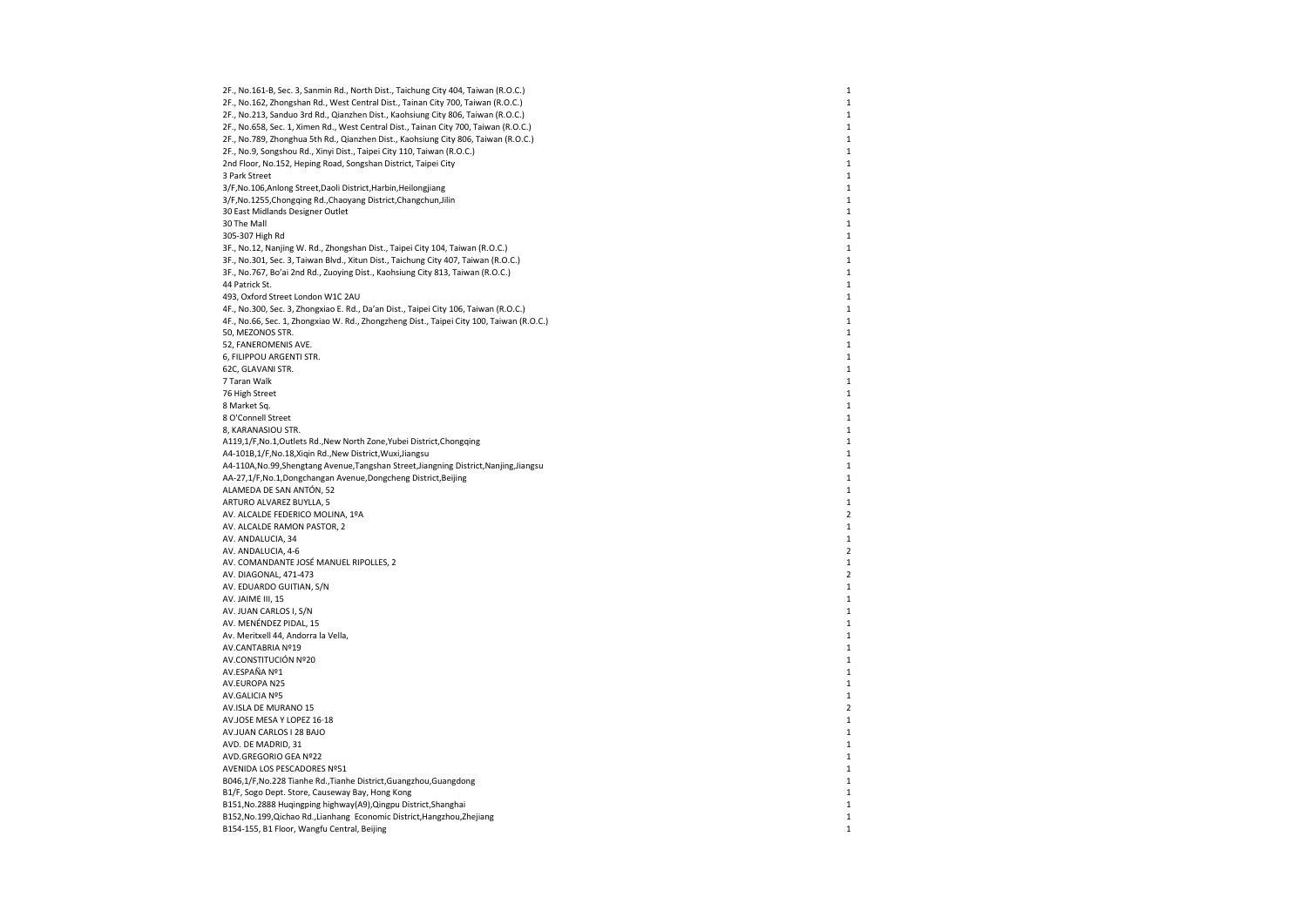2F., No.161-B, Sec. 3, Sanmin Rd., North Dist., Taichung City 404, Taiwan (R.O.C.) 2F., No.162, Zhongshan Rd., West Central Dist., Tainan City 700, Taiwan (R.O.C.) 2F., No.213, Sanduo 3rd Rd., Qianzhen Dist., Kaohsiung City 806, Taiwan (R.O.C.) 2F., No.658, Sec. 1, Ximen Rd., West Central Dist., Tainan City 700, Taiwan (R.O.C.) 2F., No.789, Zhonghua 5th Rd., Qianzhen Dist., Kaohsiung City 806, Taiwan (R.O.C.) 2F., No.9, Songshou Rd., Xinyi Dist., Taipei City 110, Taiwan (R.O.C.) 2nd Floor, No.152, Heping Road, Songshan District, Taipei City 3 Park Street 3/F,No.106,Anlong Street,Daoli District,Harbin,Heilongjiang 3/F,No.1255,Chongqing Rd.,Chaoyang District,Changchun,Jilin 30 East Midlands Designer Outlet 30 The Mall 305-307 High Rd 3F., No.12, Nanjing W. Rd., Zhongshan Dist., Taipei City 104, Taiwan (R.O.C.) 3F., No.301, Sec. 3, Taiwan Blvd., Xitun Dist., Taichung City 407, Taiwan (R.O.C.) 3F., No.767, Bo'ai 2nd Rd., Zuoying Dist., Kaohsiung City 813, Taiwan (R.O.C.) 44 Patrick St. 493, Oxford Street London W1C 2AU 4F., No.300, Sec. 3, Zhongxiao E. Rd., Da'an Dist., Taipei City 106, Taiwan (R.O.C.) 4F., No.66, Sec. 1, Zhongxiao W. Rd., Zhongzheng Dist., Taipei City 100, Taiwan (R.O.C.) 50, MEZONOS STR. 52, FANEROMENIS AVE. 6, FILIPPOU ARGENTI STR. 62C, GLAVANI STR. 7 Taran Walk 76 High Street 8 Market Sq. 8 O'Connell Street 8, KARANASIOU STR. A119,1/F,No.1,Outlets Rd.,New North Zone,Yubei District,Chongqing A4-101B,1/F,No.18,Xiqin Rd.,New District,Wuxi,Jiangsu A4-110A,No.99,Shengtang Avenue,Tangshan Street,Jiangning District,Nanjing,Jiangsu AA-27,1/F,No.1,Dongchangan Avenue,Dongcheng District,Beijing ALAMEDA DE SAN ANTÓN, 52 ARTURO ALVAREZ BUYLLA, 5 AV. ALCALDE FEDERICO MOLINA, 1ºA AV. ALCALDE RAMON PASTOR, 2 AV. ANDALUCIA, 34 AV. ANDALUCIA, 4-6 AV. COMANDANTE JOSÉ MANUEL RIPOLLES, 2 AV. DIAGONAL, 471-473 AV. EDUARDO GUITIAN, S/N AV. JAIME III, 15 AV. JUAN CARLOS I, S/N AV. MENÉNDEZ PIDAL, 15 Av. Meritxell 44, Andorra la Vella, AV.CANTABRIA Nº19 AV.CONSTITUCIÓN Nº20 AV.ESPAÑA Nº1 AV.EUROPA N25 AV.GALICIA Nº5 AV.ISLA DE MURANO 15 AV.JOSE MESA Y LOPEZ 16·18 AV.JUAN CARLOS I 28 BAJO AVD. DE MADRID, 31 AVD.GREGORIO GEA Nº22 AVENIDA LOS PESCADORES Nº51 B046,1/F,No.228 Tianhe Rd.,Tianhe District,Guangzhou,Guangdong B1/F, Sogo Dept. Store, Causeway Bay, Hong Kong B151,No.2888 Huqingping highway(A9),Qingpu District,Shanghai B152,No.199,Qichao Rd.,Lianhang Economic District,Hangzhou,Zhejiang B154-155, B1 Floor, Wangfu Central, Beijing

1

1

1

1

1

1

1

1

1

1

1

1

1

1

1

1

1

1

1

1

1

1

1

1

1

1

1

1

1

1

1

1

1

1

1

2

1

1

2

1

2

1

1

1

1

1

1

1

1

1

1

 $\overline{2}$ 

1

1

1

1

1

1

1

1

1

1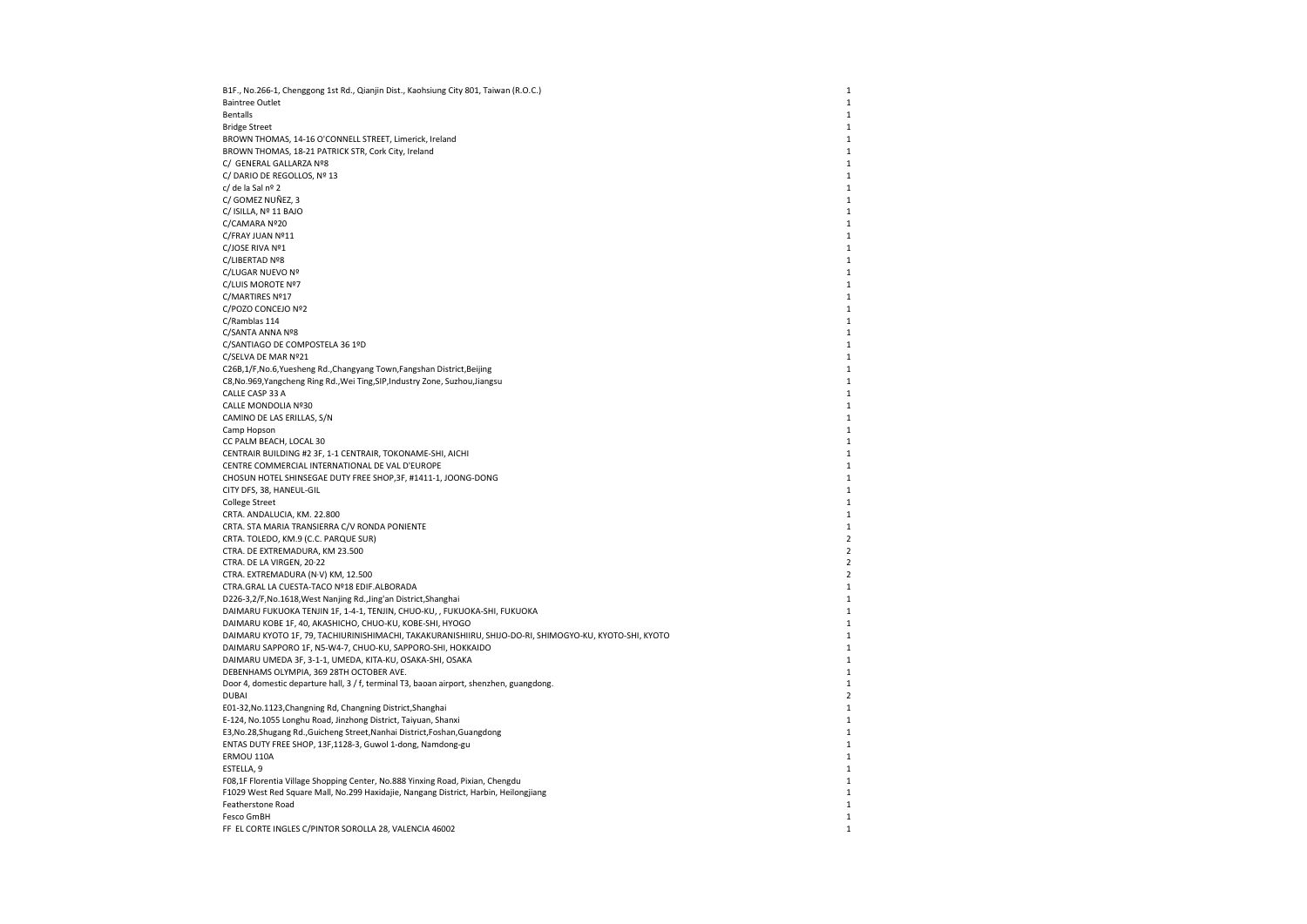| B1F., No.266-1, Chenggong 1st Rd., Qianjin Dist., Kaohsiung City 801, Taiwan (R.O.C.)                  | $\mathbf{1}$   |
|--------------------------------------------------------------------------------------------------------|----------------|
| <b>Baintree Outlet</b>                                                                                 | $\mathbf{1}$   |
| <b>Bentalls</b>                                                                                        | $\mathbf{1}$   |
| <b>Bridge Street</b>                                                                                   | $\mathbf{1}$   |
| BROWN THOMAS, 14-16 O'CONNELL STREET, Limerick, Ireland                                                | $\mathbf{1}$   |
| BROWN THOMAS, 18-21 PATRICK STR, Cork City, Ireland                                                    | 1              |
| C/ GENERAL GALLARZA Nº8                                                                                | 1              |
| C/DARIO DE REGOLLOS, Nº 13                                                                             | $\mathbf{1}$   |
| c/ de la Sal nº 2                                                                                      | $\mathbf{1}$   |
| C/ GOMEZ NUÑEZ, 3                                                                                      | $\mathbf{1}$   |
| C/ ISILLA, Nº 11 BAJO                                                                                  | $\mathbf{1}$   |
| C/CAMARA Nº20                                                                                          | $\mathbf{1}$   |
| C/FRAY JUAN Nº11                                                                                       | $\mathbf{1}$   |
| C/JOSE RIVA Nº1                                                                                        | 1              |
| C/LIBERTAD Nº8                                                                                         | $\mathbf{1}$   |
| C/LUGAR NUEVO Nº                                                                                       | $\mathbf{1}$   |
| C/LUIS MOROTE Nº7                                                                                      | $\mathbf{1}$   |
| C/MARTIRES Nº17                                                                                        | $\mathbf{1}$   |
| C/POZO CONCEJO Nº2                                                                                     | $\mathbf{1}$   |
| C/Ramblas 114                                                                                          | $1\,$          |
| C/SANTA ANNA Nº8                                                                                       | 1              |
| C/SANTIAGO DE COMPOSTELA 36 1ºD                                                                        | $\mathbf{1}$   |
| C/SELVA DE MAR Nº21                                                                                    | $\mathbf 1$    |
| C26B,1/F,No.6,Yuesheng Rd.,Changyang Town,Fangshan District,Beijing                                    | $\mathbf{1}$   |
| C8, No.969, Yangcheng Ring Rd., Wei Ting, SIP, Industry Zone, Suzhou, Jiangsu                          | $\mathbf{1}$   |
| CALLE CASP 33 A                                                                                        |                |
|                                                                                                        | 1              |
| CALLE MONDOLIA Nº30                                                                                    | $\mathbf{1}$   |
| CAMINO DE LAS ERILLAS, S/N                                                                             | 1              |
| Camp Hopson                                                                                            | $\mathbf{1}$   |
| CC PALM BEACH, LOCAL 30                                                                                | $\mathbf{1}$   |
| CENTRAIR BUILDING #2 3F, 1-1 CENTRAIR, TOKONAME-SHI, AICHI                                             | $\mathbf{1}$   |
| CENTRE COMMERCIAL INTERNATIONAL DE VAL D'EUROPE                                                        | $\mathbf{1}$   |
| CHOSUN HOTEL SHINSEGAE DUTY FREE SHOP, 3F, #1411-1, JOONG-DONG                                         | 1              |
| CITY DFS, 38, HANEUL-GIL                                                                               | $1\,$          |
| <b>College Street</b>                                                                                  | $\mathbf{1}$   |
| CRTA. ANDALUCIA, KM. 22.800                                                                            | $\mathbf{1}$   |
| CRTA. STA MARIA TRANSIERRA C/V RONDA PONIENTE                                                          | $\mathbf 1$    |
| CRTA. TOLEDO, KM.9 (C.C. PARQUE SUR)                                                                   | $\overline{2}$ |
| CTRA. DE EXTREMADURA, KM 23.500                                                                        | $\overline{2}$ |
| CTRA. DE LA VIRGEN, 20-22                                                                              | $\overline{2}$ |
| CTRA. EXTREMADURA (N·V) KM, 12.500                                                                     | $\overline{2}$ |
| CTRA.GRAL LA CUESTA-TACO Nº18 EDIF.ALBORADA                                                            | $\mathbf{1}$   |
| D226-3,2/F, No.1618, West Nanjing Rd., Jing'an District, Shanghai                                      | $\mathbf{1}$   |
| DAIMARU FUKUOKA TENJIN 1F, 1-4-1, TENJIN, CHUO-KU, , FUKUOKA-SHI, FUKUOKA                              | $\mathbf{1}$   |
| DAIMARU KOBE 1F, 40, AKASHICHO, CHUO-KU, KOBE-SHI, HYOGO                                               | $\mathbf{1}$   |
| DAIMARU KYOTO 1F, 79, TACHIURINISHIMACHI, TAKAKURANISHIIRU, SHIJO-DO-RI, SHIMOGYO-KU, KYOTO-SHI, KYOTO | $\mathbf{1}$   |
| DAIMARU SAPPORO 1F, N5-W4-7, CHUO-KU, SAPPORO-SHI, HOKKAIDO                                            | $\mathbf{1}$   |
| DAIMARU UMEDA 3F, 3-1-1, UMEDA, KITA-KU, OSAKA-SHI, OSAKA                                              | 1              |
| DEBENHAMS OLYMPIA, 369 28TH OCTOBER AVE.                                                               | $\mathbf{1}$   |
| Door 4, domestic departure hall, 3 / f, terminal T3, baoan airport, shenzhen, guangdong.               | $\mathbf 1$    |
| <b>DUBAI</b>                                                                                           | $\overline{2}$ |
| E01-32, No.1123, Changning Rd, Changning District, Shanghai                                            | $\mathbf{1}$   |
| E-124, No.1055 Longhu Road, Jinzhong District, Taiyuan, Shanxi                                         | 1              |
| E3, No. 28, Shugang Rd., Guicheng Street, Nanhai District, Foshan, Guangdong                           | 1              |
| ENTAS DUTY FREE SHOP, 13F,1128-3, Guwol 1-dong, Namdong-gu                                             | $\mathbf 1$    |
| ERMOU 110A                                                                                             | $\mathbf{1}$   |
| ESTELLA, 9                                                                                             | $\mathbf{1}$   |
| F08,1F Florentia Village Shopping Center, No.888 Yinxing Road, Pixian, Chengdu                         | $\mathbf{1}$   |
| F1029 West Red Square Mall, No.299 Haxidajie, Nangang District, Harbin, Heilongjiang                   | $\mathbf{1}$   |
| Featherstone Road                                                                                      | 1              |
|                                                                                                        |                |
| Fesco GmBH                                                                                             | $\mathbf{1}$   |
| FF EL CORTE INGLES C/PINTOR SOROLLA 28, VALENCIA 46002                                                 | $\mathbf{1}$   |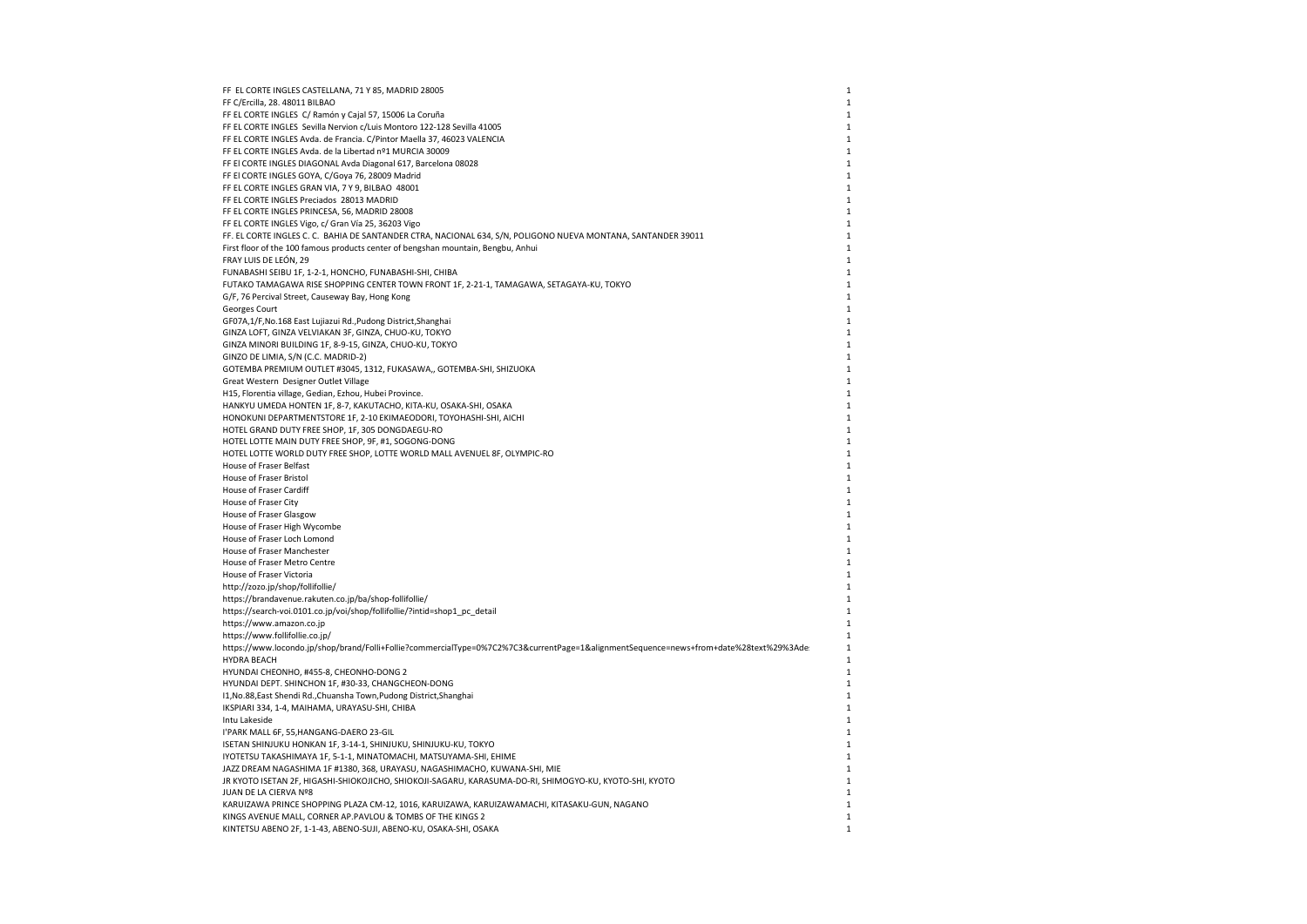| FF EL CORTE INGLES CASTELLANA, 71 Y 85, MADRID 28005                                                                                   | 1            |
|----------------------------------------------------------------------------------------------------------------------------------------|--------------|
| FF C/Ercilla, 28. 48011 BILBAO                                                                                                         | $\mathbf{1}$ |
| FF EL CORTE INGLES C/ Ramón y Cajal 57, 15006 La Coruña                                                                                | 1            |
| FF EL CORTE INGLES Sevilla Nervion c/Luis Montoro 122-128 Sevilla 41005                                                                | 1            |
| FF EL CORTE INGLES Avda. de Francia. C/Pintor Maella 37, 46023 VALENCIA                                                                | 1            |
| FF EL CORTE INGLES Avda. de la Libertad nº1 MURCIA 30009                                                                               | $\mathbf{1}$ |
| FF El CORTE INGLES DIAGONAL Avda Diagonal 617, Barcelona 08028                                                                         | $\mathbf{1}$ |
| FF El CORTE INGLES GOYA, C/Goya 76, 28009 Madrid                                                                                       | 1            |
| FF EL CORTE INGLES GRAN VIA, 7 Y 9, BILBAO 48001                                                                                       | 1            |
| FF EL CORTE INGLES Preciados 28013 MADRID                                                                                              | 1            |
| FF EL CORTE INGLES PRINCESA, 56, MADRID 28008                                                                                          | $\mathbf{1}$ |
| FF EL CORTE INGLES Vigo, c/ Gran Vía 25, 36203 Vigo                                                                                    | $\mathbf{1}$ |
| FF. EL CORTE INGLES C. C. BAHIA DE SANTANDER CTRA, NACIONAL 634, S/N, POLIGONO NUEVA MONTANA, SANTANDER 39011                          | $\mathbf{1}$ |
| First floor of the 100 famous products center of bengshan mountain, Bengbu, Anhui                                                      | $\mathbf{1}$ |
| FRAY LUIS DE LEÓN, 29                                                                                                                  | 1            |
| FUNABASHI SEIBU 1F, 1-2-1, HONCHO, FUNABASHI-SHI, CHIBA                                                                                | $\mathbf{1}$ |
| FUTAKO TAMAGAWA RISE SHOPPING CENTER TOWN FRONT 1F, 2-21-1, TAMAGAWA, SETAGAYA-KU, TOKYO                                               | 1            |
| G/F, 76 Percival Street, Causeway Bay, Hong Kong                                                                                       | $\mathbf{1}$ |
| Georges Court                                                                                                                          | $\mathbf{1}$ |
| GF07A,1/F,No.168 East Lujiazui Rd.,Pudong District,Shanghai                                                                            | $\mathbf{1}$ |
| GINZA LOFT, GINZA VELVIAKAN 3F, GINZA, CHUO-KU, TOKYO                                                                                  | 1            |
| GINZA MINORI BUILDING 1F, 8-9-15, GINZA, CHUO-KU, TOKYO                                                                                | 1            |
| GINZO DE LIMIA, S/N (C.C. MADRID-2)                                                                                                    | $\mathbf{1}$ |
| GOTEMBA PREMIUM OUTLET #3045, 1312, FUKASAWA,, GOTEMBA-SHI, SHIZUOKA                                                                   | 1            |
| Great Western Designer Outlet Village                                                                                                  | $\mathbf{1}$ |
| H15, Florentia village, Gedian, Ezhou, Hubei Province.                                                                                 | 1            |
| HANKYU UMEDA HONTEN 1F, 8-7, KAKUTACHO, KITA-KU, OSAKA-SHI, OSAKA                                                                      | $\mathbf{1}$ |
| HONOKUNI DEPARTMENTSTORE 1F, 2-10 EKIMAEODORI, TOYOHASHI-SHI, AICHI                                                                    | $\mathbf{1}$ |
| HOTEL GRAND DUTY FREE SHOP, 1F, 305 DONGDAEGU-RO                                                                                       | 1            |
| HOTEL LOTTE MAIN DUTY FREE SHOP, 9F, #1, SOGONG-DONG                                                                                   | 1            |
| HOTEL LOTTE WORLD DUTY FREE SHOP, LOTTE WORLD MALL AVENUEL 8F, OLYMPIC-RO                                                              | 1            |
| House of Fraser Belfast                                                                                                                | 1            |
| House of Fraser Bristol                                                                                                                | $\mathbf{1}$ |
| House of Fraser Cardiff                                                                                                                | $\mathbf{1}$ |
| House of Fraser City                                                                                                                   | $\mathbf{1}$ |
| House of Fraser Glasgow                                                                                                                | 1            |
| House of Fraser High Wycombe                                                                                                           | 1            |
| House of Fraser Loch Lomond                                                                                                            | 1            |
| House of Fraser Manchester                                                                                                             | $\mathbf{1}$ |
| House of Fraser Metro Centre                                                                                                           | $\mathbf{1}$ |
| House of Fraser Victoria                                                                                                               | 1            |
| http://zozo.jp/shop/follifollie/                                                                                                       | 1            |
| https://brandavenue.rakuten.co.jp/ba/shop-follifollie/                                                                                 | 1            |
| https://search-voi.0101.co.jp/voi/shop/follifollie/?intid=shop1_pc_detail                                                              | $\mathbf{1}$ |
| https://www.amazon.co.jp                                                                                                               | 1            |
| https://www.follifollie.co.jp/                                                                                                         | 1            |
| https://www.locondo.jp/shop/brand/Folli+Follie?commercialType=0%7C2%7C3&currentPage=1&alignmentSequence=news+from+date%28text%29%3Ade: | 1            |
| <b>HYDRA BEACH</b>                                                                                                                     | 1            |
| HYUNDAI CHEONHO, #455-8, CHEONHO-DONG 2                                                                                                | $\mathbf{1}$ |
| HYUNDAI DEPT. SHINCHON 1F, #30-33, CHANGCHEON-DONG                                                                                     | 1            |
| I1, No.88, East Shendi Rd., Chuansha Town, Pudong District, Shanghai                                                                   | $\mathbf{1}$ |
| IKSPIARI 334, 1-4, MAIHAMA, URAYASU-SHI, CHIBA                                                                                         | 1            |
| Intu Lakeside                                                                                                                          | 1            |
| I'PARK MALL 6F, 55, HANGANG-DAERO 23-GIL                                                                                               | $\mathbf{1}$ |
| ISETAN SHINJUKU HONKAN 1F, 3-14-1, SHINJUKU, SHINJUKU-KU, TOKYO                                                                        | $\mathbf{1}$ |
| IYOTETSU TAKASHIMAYA 1F, 5-1-1, MINATOMACHI, MATSUYAMA-SHI, EHIME                                                                      | $\mathbf{1}$ |
| JAZZ DREAM NAGASHIMA 1F #1380, 368, URAYASU, NAGASHIMACHO, KUWANA-SHI, MIE                                                             | 1            |
| JR KYOTO ISETAN 2F, HIGASHI-SHIOKOJICHO, SHIOKOJI-SAGARU, KARASUMA-DO-RI, SHIMOGYO-KU, KYOTO-SHI, KYOTO                                | 1            |
| JUAN DE LA CIERVA Nº8                                                                                                                  | $\mathbf{1}$ |
| KARUIZAWA PRINCE SHOPPING PLAZA CM-12, 1016, KARUIZAWA, KARUIZAWAMACHI, KITASAKU-GUN, NAGANO                                           | $\mathbf{1}$ |
| KINGS AVENUE MALL, CORNER AP. PAVLOU & TOMBS OF THE KINGS 2                                                                            | $\mathbf{1}$ |
| KINTETSU ABENO 2F, 1-1-43, ABENO-SUJI, ABENO-KU, OSAKA-SHI, OSAKA                                                                      | 1            |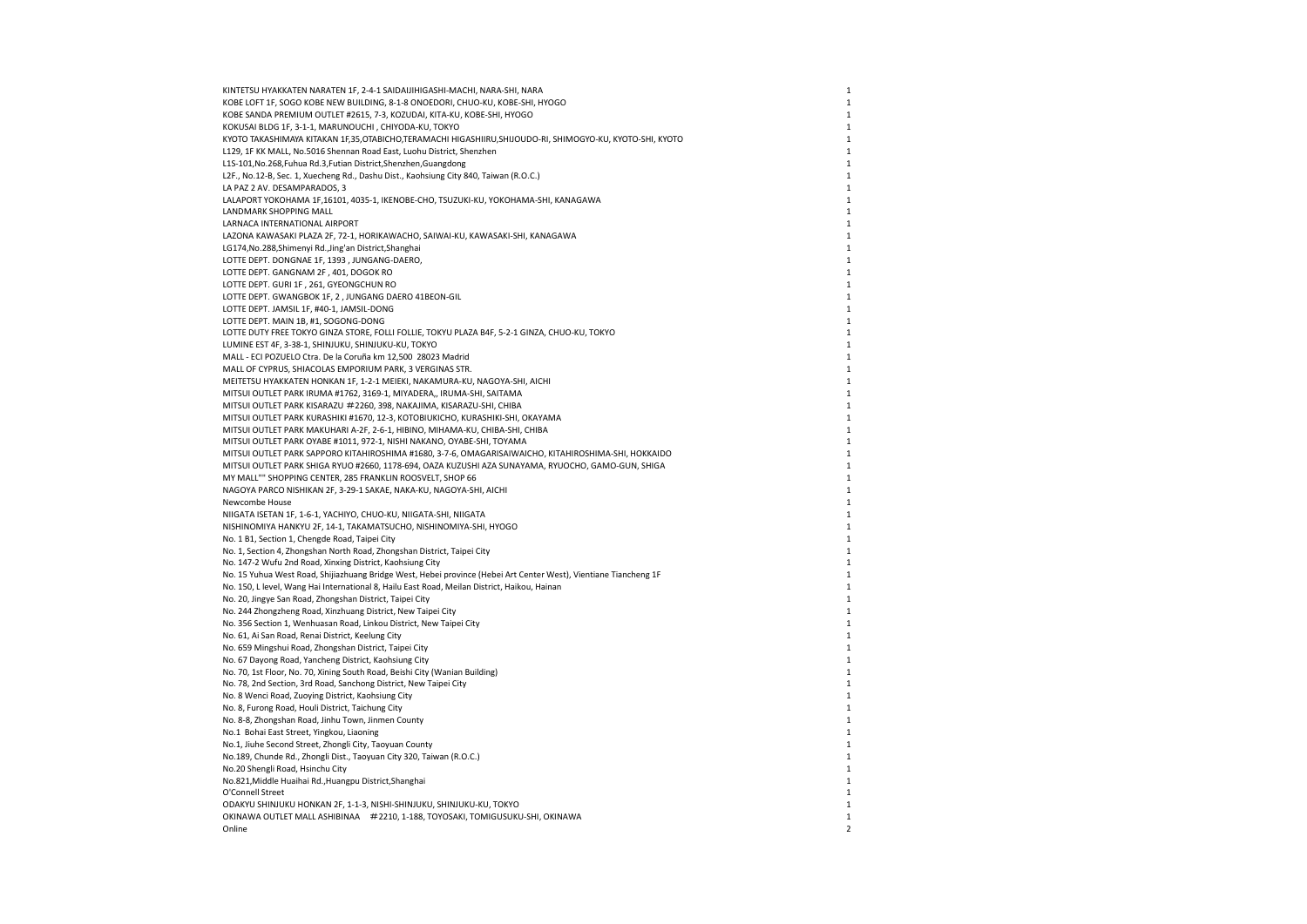| KINTETSU HYAKKATEN NARATEN 1F, 2-4-1 SAIDAIJIHIGASHI-MACHI, NARA-SHI, NARA                                       | $\mathbf 1$    |
|------------------------------------------------------------------------------------------------------------------|----------------|
| KOBE LOFT 1F, SOGO KOBE NEW BUILDING, 8-1-8 ONOEDORI, CHUO-KU, KOBE-SHI, HYOGO                                   | $\,1\,$        |
| KOBE SANDA PREMIUM OUTLET #2615, 7-3, KOZUDAI, KITA-KU, KOBE-SHI, HYOGO                                          | $\mathbf 1$    |
| KOKUSAI BLDG 1F, 3-1-1, MARUNOUCHI, CHIYODA-KU, TOKYO                                                            | $\mathbf 1$    |
| KYOTO TAKASHIMAYA KITAKAN 1F,35,OTABICHO,TERAMACHI HIGASHIIRU,SHIJOUDO-RI, SHIMOGYO-KU, KYOTO-SHI, KYOTO         | $\mathbf{1}$   |
| L129, 1F KK MALL, No.5016 Shennan Road East, Luohu District, Shenzhen                                            | $\mathbf{1}$   |
| L1S-101, No.268, Fuhua Rd.3, Futian District, Shenzhen, Guangdong                                                | $\mathbf{1}$   |
| L2F., No.12-B, Sec. 1, Xuecheng Rd., Dashu Dist., Kaohsiung City 840, Taiwan (R.O.C.)                            | $\mathbf{1}$   |
| LA PAZ 2 AV. DESAMPARADOS, 3                                                                                     | $\mathbf{1}$   |
| LALAPORT YOKOHAMA 1F,16101, 4035-1, IKENOBE-CHO, TSUZUKI-KU, YOKOHAMA-SHI, KANAGAWA                              | $\mathbf{1}$   |
| LANDMARK SHOPPING MALL                                                                                           | $1\,$          |
| LARNACA INTERNATIONAL AIRPORT                                                                                    | $\mathbf{1}$   |
| LAZONA KAWASAKI PLAZA 2F, 72-1, HORIKAWACHO, SAIWAI-KU, KAWASAKI-SHI, KANAGAWA                                   | 1              |
|                                                                                                                  | $\mathbf{1}$   |
| LG174, No.288, Shimenyi Rd., Jing'an District, Shanghai                                                          |                |
| LOTTE DEPT. DONGNAE 1F, 1393, JUNGANG-DAERO,                                                                     | 1              |
| LOTTE DEPT. GANGNAM 2F, 401, DOGOK RO                                                                            | $\mathbf{1}$   |
| LOTTE DEPT. GURI 1F, 261, GYEONGCHUN RO                                                                          | $\mathbf 1$    |
| LOTTE DEPT. GWANGBOK 1F, 2, JUNGANG DAERO 41BEON-GIL                                                             | $\mathbf{1}$   |
| LOTTE DEPT. JAMSIL 1F, #40-1, JAMSIL-DONG                                                                        | $1\,$          |
| LOTTE DEPT. MAIN 1B, #1, SOGONG-DONG                                                                             | 1              |
| LOTTE DUTY FREE TOKYO GINZA STORE, FOLLI FOLLIE, TOKYU PLAZA B4F, 5-2-1 GINZA, CHUO-KU, TOKYO                    | $\mathbf{1}$   |
| LUMINE EST 4F, 3-38-1, SHINJUKU, SHINJUKU-KU, TOKYO                                                              | $\mathbf{1}$   |
| MALL - ECI POZUELO Ctra. De la Coruña km 12,500 28023 Madrid                                                     | $\mathbf{1}$   |
| MALL OF CYPRUS, SHIACOLAS EMPORIUM PARK, 3 VERGINAS STR.                                                         | $\mathbf{1}$   |
| MEITETSU HYAKKATEN HONKAN 1F, 1-2-1 MEIEKI, NAKAMURA-KU, NAGOYA-SHI, AICHI                                       | $\mathbf{1}$   |
| MITSUI OUTLET PARK IRUMA #1762, 3169-1, MIYADERA,, IRUMA-SHI, SAITAMA                                            | $\mathbf{1}$   |
| MITSUI OUTLET PARK KISARAZU #2260, 398, NAKAJIMA, KISARAZU-SHI, CHIBA                                            | $\mathbf{1}$   |
| MITSUI OUTLET PARK KURASHIKI #1670, 12-3, KOTOBIUKICHO, KURASHIKI-SHI, OKAYAMA                                   | $\mathbf 1$    |
| MITSUI OUTLET PARK MAKUHARI A-2F, 2-6-1, HIBINO, MIHAMA-KU, CHIBA-SHI, CHIBA                                     | $\mathbf{1}$   |
| MITSUI OUTLET PARK OYABE #1011, 972-1, NISHI NAKANO, OYABE-SHI, TOYAMA                                           | $\mathbf{1}$   |
| MITSUI OUTLET PARK SAPPORO KITAHIROSHIMA #1680, 3-7-6, OMAGARISAIWAICHO, KITAHIROSHIMA-SHI, HOKKAIDO             | $\mathbf{1}$   |
| MITSUI OUTLET PARK SHIGA RYUO #2660, 1178-694, OAZA KUZUSHI AZA SUNAYAMA, RYUOCHO, GAMO-GUN, SHIGA               | $\mathbf{1}$   |
| MY MALL"" SHOPPING CENTER, 285 FRANKLIN ROOSVELT, SHOP 66                                                        | $\mathbf{1}$   |
| NAGOYA PARCO NISHIKAN 2F, 3-29-1 SAKAE, NAKA-KU, NAGOYA-SHI, AICHI                                               | $\mathbf 1$    |
| Newcombe House                                                                                                   | $\mathbf{1}$   |
| NIIGATA ISETAN 1F, 1-6-1, YACHIYO, CHUO-KU, NIIGATA-SHI, NIIGATA                                                 | $\mathbf{1}$   |
| NISHINOMIYA HANKYU 2F, 14-1, TAKAMATSUCHO, NISHINOMIYA-SHI, HYOGO                                                | $\mathbf{1}$   |
| No. 1 B1, Section 1, Chengde Road, Taipei City                                                                   | $\mathbf{1}$   |
| No. 1, Section 4, Zhongshan North Road, Zhongshan District, Taipei City                                          | 1              |
| No. 147-2 Wufu 2nd Road, Xinxing District, Kaohsiung City                                                        | $\mathbf{1}$   |
| No. 15 Yuhua West Road, Shijiazhuang Bridge West, Hebei province (Hebei Art Center West), Vientiane Tiancheng 1F | $\mathbf{1}$   |
| No. 150, L level, Wang Hai International 8, Hailu East Road, Meilan District, Haikou, Hainan                     | $\mathbf{1}$   |
|                                                                                                                  | $\mathbf{1}$   |
| No. 20, Jingye San Road, Zhongshan District, Taipei City                                                         | 1              |
| No. 244 Zhongzheng Road, Xinzhuang District, New Taipei City                                                     |                |
| No. 356 Section 1, Wenhuasan Road, Linkou District, New Taipei City                                              | $\mathbf{1}$   |
| No. 61, Ai San Road, Renai District, Keelung City                                                                | $\mathbf{1}$   |
| No. 659 Mingshui Road, Zhongshan District, Taipei City                                                           | $\mathbf 1$    |
| No. 67 Dayong Road, Yancheng District, Kaohsiung City                                                            | $\mathbf{1}$   |
| No. 70, 1st Floor, No. 70, Xining South Road, Beishi City (Wanian Building)                                      | $\mathbf{1}$   |
| No. 78, 2nd Section, 3rd Road, Sanchong District, New Taipei City                                                | $\,1\,$        |
| No. 8 Wenci Road, Zuoying District, Kaohsiung City                                                               | $\mathbf{1}$   |
| No. 8, Furong Road, Houli District, Taichung City                                                                | $\mathbf{1}$   |
| No. 8-8, Zhongshan Road, Jinhu Town, Jinmen County                                                               | $\mathbf 1$    |
| No.1 Bohai East Street, Yingkou, Liaoning                                                                        | 1              |
| No.1, Jiuhe Second Street, Zhongli City, Taoyuan County                                                          | $\mathbf{1}$   |
| No.189, Chunde Rd., Zhongli Dist., Taoyuan City 320, Taiwan (R.O.C.)                                             | 1              |
| No.20 Shengli Road, Hsinchu City                                                                                 | $\mathbf{1}$   |
| No.821, Middle Huaihai Rd., Huangpu District, Shanghai                                                           | $\mathbf{1}$   |
| O'Connell Street                                                                                                 | $\mathbf{1}$   |
| ODAKYU SHINJUKU HONKAN 2F, 1-1-3, NISHI-SHINJUKU, SHINJUKU-KU, TOKYO                                             | $\mathbf{1}$   |
| OKINAWA OUTLET MALL ASHIBINAA #2210, 1-188, TOYOSAKI, TOMIGUSUKU-SHI, OKINAWA                                    | $\,1\,$        |
| Online                                                                                                           | $\overline{2}$ |
|                                                                                                                  |                |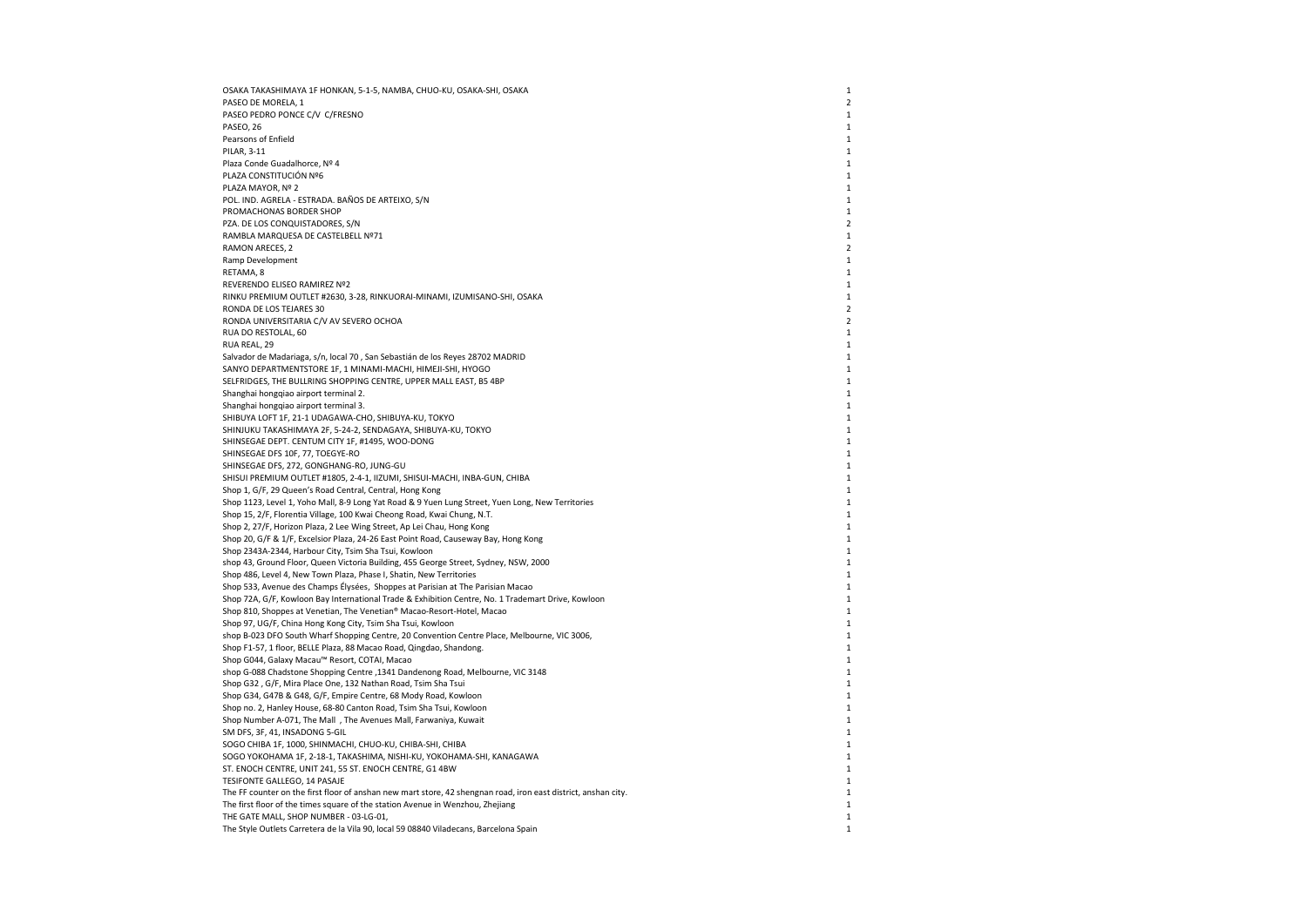OSAKA TAKASHIMAYA 1F HONKAN, 5-1-5, NAMBA, CHUO-KU, OSAKA-SHI, OSAKA 1 PASEO DE MORELA, 1 2 PASEO PEDRO PONCE C/V C/FRESNO 1999 PASEO PEDRO PONCE C/V C/FRESNO PASEO, 26 PASEO, 26 PASEO, 26 PASEO, 26 PASEO, 26 PASEO, 26 PASEO, 26 PASEO, 26 PASEO, 26 PASEO, 26 PASEO, 26 PASEO, 26 PASEO, 26 PASEO, 26 PASEO, 26 PASEO PASEO, 26 and 20 and 20 and 20 and 20 and 20 and 20 and 20 and 20 and 20 and 20 and 20 and 20 and 20 and 20 and 20 and 20 and 20 and 20 and 20 and 20 and 20 and 20 and 20 and 20 and 20 and 20 and 20 and 20 and 20 and 20 an Pearsons of Enfield 2002 and 2008 and 2008 and 2008 and 2008 and 2008 and 2008 and 2008 and 2008 and 2008 and 2008 and 2008 and 2008 and 2008 and 2008 and 2008 and 2008 and 2008 and 2008 and 2008 and 2008 and 2008 and 2008 PILAR, 3-11 2012 12:30 12:30 12:30 12:30 12:30 12:30 12:30 12:30 12:30 12:30 12:30 12:30 12:30 12:30 12:30 12:30 12:30 12:30 12:30 12:30 12:30 12:30 12:30 12:30 12:30 12:30 12:30 12:30 12:30 12:30 12:30 12:30 12:30 12:30 1 Plaza Conde Guadalhorce, Nº 4 1 PLAZA CONSTITUCIÓN Nº6 1 PLAZA MAYOR, № 2 1 POL. IND. AGRELA - ESTRADA. BAÑOS DE ARTEIXO, S/N 1 PROMACHONAS BORDER SHOP 1 PZA. DE LOS CONQUISTADORES, S/N 2 RAMBLA MARQUESA DE CASTELBELL Nº71 1 RAMON ARECES, 2 2 Ramp Development the control of the control of the control of the control of the control of the control of the control of the control of the control of the control of the control of the control of the control of the contro RETAMA, 8 and 1 and 2012 and 2012 and 2012 and 2012 and 2012 and 2012 and 2012 and 2012 and 2012 and 2012 and 201 REVERENDO ELISEO RAMIREZ Nº2 1 RINKU PREMIUM OUTLET #2630, 3-28, RINKUORAI-MINAMI, IZUMISANO-SHI, OSAKA 1 RONDA DE LOS TEJARES 30<br>RONDA LINIVERSITARIA CAJ AV SEVERO OCHOA RONDA UNIVERSITARIA C/V AV SEVERO OCHOA 2 RUA DO RESTOLAL, 60 1  $RUA$  REAL, 29  $1$ Salvador de Madariaga, s/n, local 70 , San Sebastián de los Reyes 28702 MADRID 1 SANYO DEPARTMENTSTORE 1F, 1 MINAMI-MACHI, HIMEJI-SHI, HYOGO 1 SELFRIDGES, THE BULLRING SHOPPING CENTRE, UPPER MALL EAST, B5 4BP 1 Shanghai hongqiao airport terminal 2. 1 Shanghai hongqiao airport terminal 3. 1 SHIBUYA LOFT 1F, 21-1 UDAGAWA-CHO, SHIBUYA-KU, TOKYO 1 SHINJUKU TAKASHIMAYA 2F, 5-24-2, SENDAGAYA, SHIBUYA-KU, TOKYO 1 SHINSEGAE DEPT. CENTUM CITY 1F, #1495, WOO-DONG 1 SHINSEGAE DFS 10F, 77, TOEGYE-RO 1 SHINSEGAE DFS, 272, GONGHANG-RO, JUNG-GU 1 SHISUI PREMIUM OUTLET #1805, 2-4-1, IIZUMI, SHISUI-MACHI, INBA-GUN, CHIBA 1 Shop 1, G/F, 29 Queen's Road Central, Central, Hong Kong 1 Shop 1123, Level 1, Yoho Mall, 8-9 Long Yat Road & 9 Yuen Lung Street, Yuen Long, New Territories 1 Shop 15, 2/F, Florentia Village, 100 Kwai Cheong Road, Kwai Chung, N.T. 1998. The control of the control of the control of the control of the control of the control of the control of the control of the control of the contr Shop 2, 27/F, Horizon Plaza, 2 Lee Wing Street, Ap Lei Chau, Hong Kong 1 Shop 20, G/F & 1/F, Excelsior Plaza, 24-26 East Point Road, Causeway Bay, Hong Kong 1998 Shop 2343A-2344, Harbour City, Tsim Sha Tsui, Kowloon 1 shop 43, Ground Floor, Queen Victoria Building, 455 George Street, Sydney, NSW, 2000 1998 1999 1999 1999 1999 1 Shop 486, Level 4, New Town Plaza, Phase I, Shatin, New Territories 1 Shop 533, Avenue des Champs Élysées, Shoppes at Parisian at The Parisian Macao 1 Shop 72A, G/F, Kowloon Bay International Trade & Exhibition Centre, No. 1 Trademart Drive, Kowloon 1 Shop 810, Shoppes at Venetian, The Venetian® Macao-Resort-Hotel, Macao 1 Shop 97, UG/F, China Hong Kong City, Tsim Sha Tsui, Kowloon 1 shop B-023 DFO South Wharf Shopping Centre, 20 Convention Centre Place, Melbourne, VIC 3006, 1 Shop F1-57, 1 floor, BELLE Plaza, 88 Macao Road, Qingdao, Shandong. 1 Shop G044, Galaxy Macau™ Resort, COTAI, Macao 1. 1998. 2012 1. 2012 1. 2012 1. 2012 1. 2012 1. 2012 1. 2012 1. 2013 1. 2012 1. 2012 1. 2012 1. 2012 1. 2012 1. 2012 1. 2012 1. 2012 1. 2012 1. 2012 1. 2012 1. 2012 1. 2012 1. shop G-088 Chadstone Shopping Centre ,1341 Dandenong Road, Melbourne, VIC 3148 Shop G32 , G/F, Mira Place One, 132 Nathan Road, Tsim Sha Tsui 1 Shop G34, G47B & G48, G/F, Empire Centre, 68 Mody Road, Kowloon 1 and 1 and 1 and 1 and 1 and 1 and 1 and 1 and 1 and 1 and 1 and 1 and 1 and 1 and 1 and 1 and 1 and 1 and 1 and 1 and 1 and 1 and 1 and 1 and 1 and 1 and 1 Shop no. 2, Hanley House, 68-80 Canton Road, Tsim Sha Tsui, Kowloon 1998 and 1999 and 1999 and 1999 and 1999 and 1999 and 1999 and 1999 and 1999 and 1999 and 1999 and 1999 and 1999 and 1999 and 1999 and 1999 and 1999 and 1 Shop Number A-071, The Mall , The Avenues Mall, Farwaniya, Kuwait 1 and 1 and 1 and 1 and 1 and 1 and 1 and 1 and 1 and 1 and 1 and 1 and 1 and 1 and 1 and 1 and 1 and 1 and 1 and 1 and 1 and 1 and 1 and 1 and 1 and 1 and SM DFS, 3F, 41, INSADONG 5-GIL 1 SOGO CHIBA 1F, 1000, SHINMACHI, CHUO-KU, CHIBA-SHI, CHIBA 1 SOGO YOKOHAMA 1F, 2-18-1, TAKASHIMA, NISHI-KU, YOKOHAMA-SHI, KANAGAWA 1 ST. ENOCH CENTRE, UNIT 241, 55 ST. ENOCH CENTRE, G1 4BW 1 TESIFONTE GALLEGO, 14 PASAJE 1 The FF counter on the first floor of anshan new mart store, 42 shengnan road, iron east district, anshan city. 1 The first floor of the times square of the station Avenue in Wenzhou, Zhejiang 1 THE GATE MALL, SHOP NUMBER - 03-LG-01, 1 The Style Outlets Carretera de la Vila 90, local 59 08840 Viladecans, Barcelona Spain 1